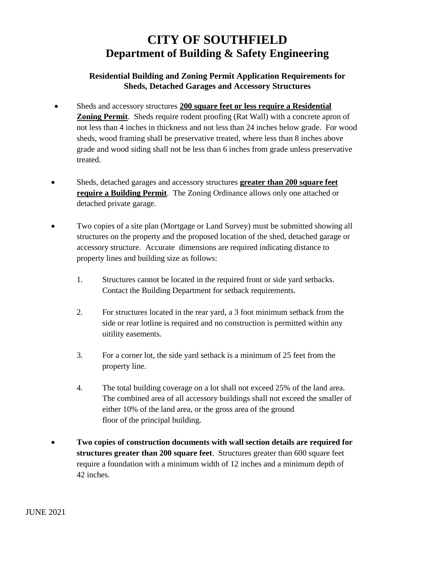## **CITY OF SOUTHFIELD Department of Building & Safety Engineering**

## **Residential Building and Zoning Permit Application Requirements for Sheds, Detached Garages and Accessory Structures**

- Sheds and accessory structures **200 square feet or less require a Residential Zoning Permit**. Sheds require rodent proofing (Rat Wall) with a concrete apron of not less than 4 inches in thickness and not less than 24 inches below grade. For wood sheds, wood framing shall be preservative treated, where less than 8 inches above grade and wood siding shall not be less than 6 inches from grade unless preservative treated.
- Sheds, detached garages and accessory structures **greater than 200 square feet require a Building Permit**. The Zoning Ordinance allows only one attached or detached private garage.
- Two copies of a site plan (Mortgage or Land Survey) must be submitted showing all structures on the property and the proposed location of the shed, detached garage or accessory structure. Accurate dimensions are required indicating distance to property lines and building size as follows:
	- 1. Structures cannot be located in the required front or side yard setbacks. Contact the Building Department for setback requirements.
	- 2. For structures located in the rear yard, a 3 foot minimum setback from the side or rear lotline is required and no construction is permitted within any uitility easements.
	- 3. For a corner lot, the side yard setback is a minimum of 25 feet from the property line.
	- 4. The total building coverage on a lot shall not exceed 25% of the land area. The combined area of all accessory buildings shall not exceed the smaller of either 10% of the land area, or the gross area of the ground floor of the principal building.
- **Two copies of construction documents with wall section details are required for structures greater than 200 square feet**. Structures greater than 600 square feet require a foundation with a minimum width of 12 inches and a minimum depth of 42 inches.